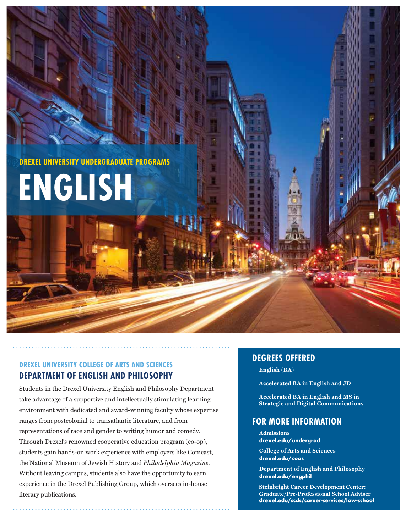**DREXEL UNIVERSITY UNDERGRADUATE PROGRAMS**

# **ENGLISH**

# **DREXEL UNIVERSITY COLLEGE OF ARTS AND SCIENCES DEPARTMENT OF ENGLISH AND PHILOSOPHY**

Students in the Drexel University English and Philosophy Department take advantage of a supportive and intellectually stimulating learning environment with dedicated and award-winning faculty whose expertise ranges from postcolonial to transatlantic literature, and from representations of race and gender to writing humor and comedy. Through Drexel's renowned cooperative education program (co-op), students gain hands-on work experience with employers like Comcast, the National Museum of Jewish History and *Philadelphia Magazine*. Without leaving campus, students also have the opportunity to earn experience in the Drexel Publishing Group, which oversees in-house literary publications.

# **DEGREES OFFERED**

English (BA)

**Accelerated BA in English and JD** 

**Accelerated BA in English and MS in Strategic and Digital Communications** 

# **FOR MORE INFORMATION**

**Admissions drexel.edu/undergrad**

**College of Arts and Sciences drexel.edu/coas**

**Department of English and Philosophy drexel.edu/engphil**

**Steinbright Career Development Center:**  $Graduate/Pre-Professional School Adviser$ drexel.edu/scdc/career-services/law-school